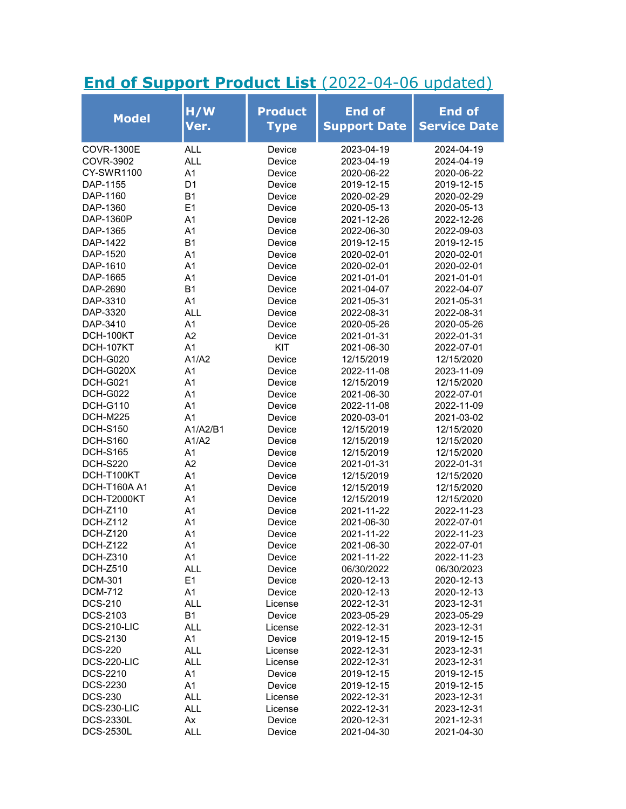## End of Support Product List (2022-04-06 updated)

| <b>Model</b>      | H/W<br>Ver.    | <b>Product</b><br><b>Type</b> | <b>End of</b><br><b>Support Date</b> | <b>End of</b><br><b>Service Date</b> |
|-------------------|----------------|-------------------------------|--------------------------------------|--------------------------------------|
| <b>COVR-1300E</b> | <b>ALL</b>     | Device                        | 2023-04-19                           | 2024-04-19                           |
| COVR-3902         | <b>ALL</b>     | Device                        | 2023-04-19                           | 2024-04-19                           |
| <b>CY-SWR1100</b> | A1             | Device                        | 2020-06-22                           | 2020-06-22                           |
| DAP-1155          | D <sub>1</sub> | Device                        | 2019-12-15                           | 2019-12-15                           |
| DAP-1160          | <b>B1</b>      | Device                        | 2020-02-29                           | 2020-02-29                           |
| DAP-1360          | E1             | Device                        | 2020-05-13                           | 2020-05-13                           |
| DAP-1360P         | Α1             | Device                        | 2021-12-26                           | 2022-12-26                           |
| DAP-1365          | A <sub>1</sub> | Device                        | 2022-06-30                           | 2022-09-03                           |
| DAP-1422          | <b>B1</b>      | Device                        | 2019-12-15                           | 2019-12-15                           |
| DAP-1520          | A <sub>1</sub> | Device                        | 2020-02-01                           | 2020-02-01                           |
| DAP-1610          | A <sub>1</sub> | Device                        | 2020-02-01                           | 2020-02-01                           |
| DAP-1665          | A <sub>1</sub> | Device                        | 2021-01-01                           | 2021-01-01                           |
| DAP-2690          | <b>B1</b>      | Device                        | 2021-04-07                           | 2022-04-07                           |
| DAP-3310          | A <sub>1</sub> | Device                        | 2021-05-31                           | 2021-05-31                           |
| DAP-3320          | ALL            | Device                        | 2022-08-31                           | 2022-08-31                           |
| DAP-3410          | A <sub>1</sub> | Device                        | 2020-05-26                           | 2020-05-26                           |
| DCH-100KT         | A2             | Device                        | 2021-01-31                           | 2022-01-31                           |
| DCH-107KT         | A <sub>1</sub> | KIT                           | 2021-06-30                           | 2022-07-01                           |
| <b>DCH-G020</b>   | A1/A2          | Device                        | 12/15/2019                           | 12/15/2020                           |
| DCH-G020X         | A <sub>1</sub> | Device                        | 2022-11-08                           | 2023-11-09                           |
| DCH-G021          | A <sub>1</sub> | Device                        | 12/15/2019                           | 12/15/2020                           |
| <b>DCH-G022</b>   | A <sub>1</sub> | Device                        | 2021-06-30                           | 2022-07-01                           |
| <b>DCH-G110</b>   | A <sub>1</sub> | Device                        | 2022-11-08                           | 2022-11-09                           |
| DCH-M225          | A <sub>1</sub> | Device                        | 2020-03-01                           | 2021-03-02                           |
| <b>DCH-S150</b>   | A1/A2/B1       | Device                        | 12/15/2019                           | 12/15/2020                           |
| <b>DCH-S160</b>   | A1/A2          | Device                        | 12/15/2019                           | 12/15/2020                           |
| <b>DCH-S165</b>   | A <sub>1</sub> | Device                        | 12/15/2019                           | 12/15/2020                           |
| <b>DCH-S220</b>   | A2             | Device                        | 2021-01-31                           | 2022-01-31                           |
| DCH-T100KT        | A <sub>1</sub> | Device                        | 12/15/2019                           | 12/15/2020                           |
| DCH-T160A A1      | A <sub>1</sub> | Device                        | 12/15/2019                           | 12/15/2020                           |
| DCH-T2000KT       | A <sub>1</sub> | Device                        | 12/15/2019                           | 12/15/2020                           |
| <b>DCH-Z110</b>   | A <sub>1</sub> | Device                        | 2021-11-22                           | 2022-11-23                           |
| <b>DCH-Z112</b>   | A <sub>1</sub> | Device                        | 2021-06-30                           | 2022-07-01                           |
| <b>DCH-Z120</b>   | A <sub>1</sub> | Device                        | 2021-11-22                           | 2022-11-23                           |
| <b>DCH-Z122</b>   | A <sub>1</sub> | Device                        | 2021-06-30                           | 2022-07-01                           |
| <b>DCH-Z310</b>   | A1             | Device                        | 2021-11-22                           | 2022-11-23                           |
| <b>DCH-Z510</b>   | <b>ALL</b>     | Device                        | 06/30/2022                           | 06/30/2023                           |
| <b>DCM-301</b>    | E1             | Device                        | 2020-12-13                           | 2020-12-13                           |
| <b>DCM-712</b>    | A1             | Device                        | 2020-12-13                           | 2020-12-13                           |
| <b>DCS-210</b>    | <b>ALL</b>     | License                       | 2022-12-31                           | 2023-12-31                           |
| DCS-2103          | <b>B1</b>      | Device                        | 2023-05-29                           | 2023-05-29                           |
| DCS-210-LIC       | <b>ALL</b>     | License                       | 2022-12-31                           | 2023-12-31                           |
| DCS-2130          | A1             | Device                        | 2019-12-15                           | 2019-12-15                           |
| <b>DCS-220</b>    | <b>ALL</b>     | License                       | 2022-12-31                           | 2023-12-31                           |
| DCS-220-LIC       | <b>ALL</b>     | License                       | 2022-12-31                           | 2023-12-31                           |
| DCS-2210          | A <sub>1</sub> | Device                        | 2019-12-15                           | 2019-12-15                           |
| <b>DCS-2230</b>   | A1             | Device                        | 2019-12-15                           | 2019-12-15                           |
| <b>DCS-230</b>    | ALL            | License                       | 2022-12-31                           | 2023-12-31                           |
| DCS-230-LIC       | ALL            | License                       | 2022-12-31                           | 2023-12-31                           |
| <b>DCS-2330L</b>  | Ax             | Device                        | 2020-12-31                           | 2021-12-31                           |
| <b>DCS-2530L</b>  | <b>ALL</b>     | Device                        | 2021-04-30                           | 2021-04-30                           |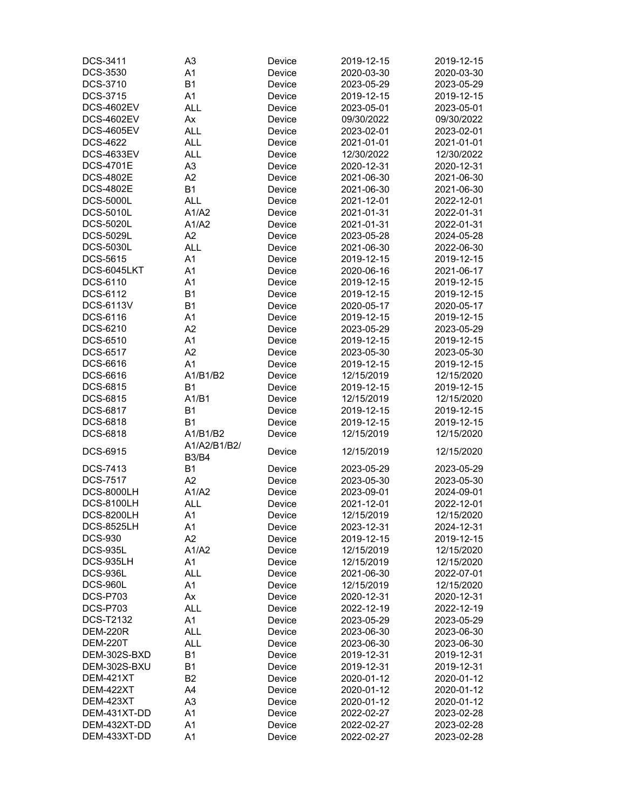| DCS-3411          | A <sub>3</sub> | Device | 2019-12-15 | 2019-12-15 |
|-------------------|----------------|--------|------------|------------|
| DCS-3530          | A1             | Device | 2020-03-30 | 2020-03-30 |
| DCS-3710          | <b>B1</b>      | Device | 2023-05-29 | 2023-05-29 |
| DCS-3715          | A1             | Device | 2019-12-15 | 2019-12-15 |
| <b>DCS-4602EV</b> | <b>ALL</b>     | Device | 2023-05-01 | 2023-05-01 |
| <b>DCS-4602EV</b> | Ax             | Device | 09/30/2022 | 09/30/2022 |
| <b>DCS-4605EV</b> | <b>ALL</b>     | Device | 2023-02-01 | 2023-02-01 |
| <b>DCS-4622</b>   | <b>ALL</b>     | Device | 2021-01-01 | 2021-01-01 |
| <b>DCS-4633EV</b> | <b>ALL</b>     | Device | 12/30/2022 | 12/30/2022 |
| <b>DCS-4701E</b>  | A <sub>3</sub> | Device | 2020-12-31 | 2020-12-31 |
| <b>DCS-4802E</b>  | A2             |        | 2021-06-30 | 2021-06-30 |
| <b>DCS-4802E</b>  |                | Device |            |            |
|                   | <b>B1</b>      | Device | 2021-06-30 | 2021-06-30 |
| <b>DCS-5000L</b>  | <b>ALL</b>     | Device | 2021-12-01 | 2022-12-01 |
| <b>DCS-5010L</b>  | A1/A2          | Device | 2021-01-31 | 2022-01-31 |
| <b>DCS-5020L</b>  | A1/A2          | Device | 2021-01-31 | 2022-01-31 |
| <b>DCS-5029L</b>  | A2             | Device | 2023-05-28 | 2024-05-28 |
| <b>DCS-5030L</b>  | <b>ALL</b>     | Device | 2021-06-30 | 2022-06-30 |
| DCS-5615          | A <sub>1</sub> | Device | 2019-12-15 | 2019-12-15 |
| DCS-6045LKT       | A1             | Device | 2020-06-16 | 2021-06-17 |
| DCS-6110          | A1             | Device | 2019-12-15 | 2019-12-15 |
| DCS-6112          | <b>B1</b>      | Device | 2019-12-15 | 2019-12-15 |
| <b>DCS-6113V</b>  | <b>B1</b>      | Device | 2020-05-17 | 2020-05-17 |
| DCS-6116          | A <sub>1</sub> | Device | 2019-12-15 | 2019-12-15 |
| DCS-6210          | A2             | Device | 2023-05-29 | 2023-05-29 |
| <b>DCS-6510</b>   | A <sub>1</sub> | Device | 2019-12-15 | 2019-12-15 |
| DCS-6517          | A2             | Device | 2023-05-30 | 2023-05-30 |
| DCS-6616          | A <sub>1</sub> | Device | 2019-12-15 | 2019-12-15 |
| DCS-6616          | A1/B1/B2       | Device | 12/15/2019 | 12/15/2020 |
| DCS-6815          | <b>B1</b>      | Device | 2019-12-15 | 2019-12-15 |
| DCS-6815          | A1/B1          | Device | 12/15/2019 | 12/15/2020 |
| DCS-6817          | <b>B1</b>      | Device | 2019-12-15 | 2019-12-15 |
| DCS-6818          | <b>B1</b>      | Device | 2019-12-15 | 2019-12-15 |
| DCS-6818          | A1/B1/B2       | Device | 12/15/2019 | 12/15/2020 |
|                   | A1/A2/B1/B2/   |        |            |            |
| <b>DCS-6915</b>   | <b>B3/B4</b>   | Device | 12/15/2019 | 12/15/2020 |
| DCS-7413          |                |        | 2023-05-29 |            |
|                   | <b>B1</b>      | Device |            | 2023-05-29 |
| <b>DCS-7517</b>   | A2             | Device | 2023-05-30 | 2023-05-30 |
| <b>DCS-8000LH</b> | A1/A2          | Device | 2023-09-01 | 2024-09-01 |
| <b>DCS-8100LH</b> | <b>ALL</b>     | Device | 2021-12-01 | 2022-12-01 |
| <b>DCS-8200LH</b> | A1             | Device | 12/15/2019 | 12/15/2020 |
| <b>DCS-8525LH</b> | A1             | Device | 2023-12-31 | 2024-12-31 |
| <b>DCS-930</b>    | A2             | Device | 2019-12-15 | 2019-12-15 |
| <b>DCS-935L</b>   | A1/A2          | Device | 12/15/2019 | 12/15/2020 |
| DCS-935LH         | A1             | Device | 12/15/2019 | 12/15/2020 |
| <b>DCS-936L</b>   | <b>ALL</b>     | Device | 2021-06-30 | 2022-07-01 |
| <b>DCS-960L</b>   | A1             | Device | 12/15/2019 | 12/15/2020 |
| <b>DCS-P703</b>   | Ax             | Device | 2020-12-31 | 2020-12-31 |
| <b>DCS-P703</b>   | <b>ALL</b>     | Device | 2022-12-19 | 2022-12-19 |
| <b>DCS-T2132</b>  | A <sub>1</sub> | Device | 2023-05-29 | 2023-05-29 |
| <b>DEM-220R</b>   | <b>ALL</b>     | Device | 2023-06-30 | 2023-06-30 |
| <b>DEM-220T</b>   | <b>ALL</b>     | Device | 2023-06-30 | 2023-06-30 |
| DEM-302S-BXD      | <b>B1</b>      | Device | 2019-12-31 | 2019-12-31 |
| DEM-302S-BXU      | <b>B1</b>      | Device | 2019-12-31 | 2019-12-31 |
| <b>DEM-421XT</b>  | <b>B2</b>      | Device | 2020-01-12 | 2020-01-12 |
| DEM-422XT         | A4             | Device | 2020-01-12 | 2020-01-12 |
| DEM-423XT         | A <sub>3</sub> | Device | 2020-01-12 | 2020-01-12 |
| DEM-431XT-DD      | A1             | Device | 2022-02-27 | 2023-02-28 |
| DEM-432XT-DD      | A <sub>1</sub> | Device | 2022-02-27 | 2023-02-28 |
| DEM-433XT-DD      | A1             | Device | 2022-02-27 | 2023-02-28 |
|                   |                |        |            |            |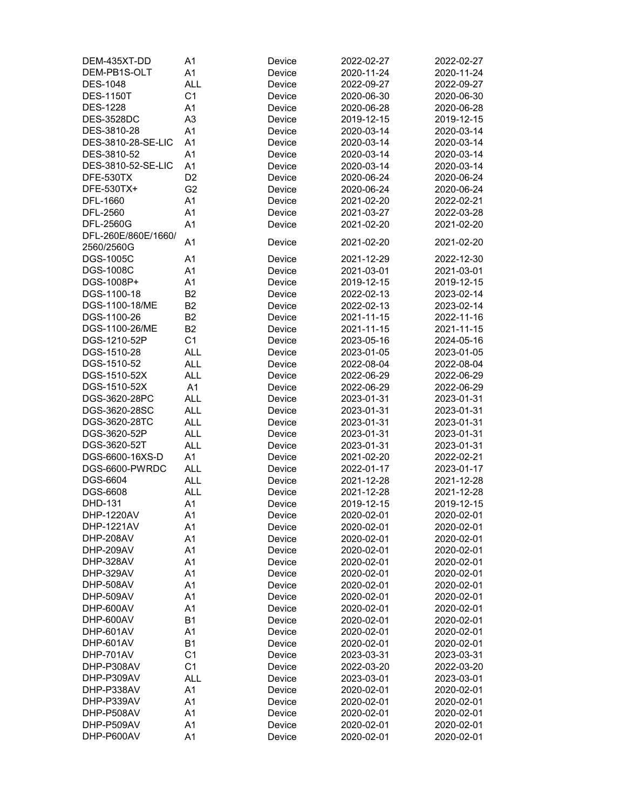| DEM-435XT-DD        | A <sub>1</sub> | Device | 2022-02-27 | 2022-02-27 |
|---------------------|----------------|--------|------------|------------|
| DEM-PB1S-OLT        | A <sub>1</sub> | Device | 2020-11-24 | 2020-11-24 |
| <b>DES-1048</b>     | <b>ALL</b>     | Device | 2022-09-27 | 2022-09-27 |
| <b>DES-1150T</b>    | C <sub>1</sub> | Device | 2020-06-30 | 2020-06-30 |
| <b>DES-1228</b>     | A <sub>1</sub> | Device | 2020-06-28 | 2020-06-28 |
| <b>DES-3528DC</b>   | A <sub>3</sub> | Device | 2019-12-15 | 2019-12-15 |
| DES-3810-28         | A <sub>1</sub> | Device | 2020-03-14 | 2020-03-14 |
| DES-3810-28-SE-LIC  | A <sub>1</sub> | Device | 2020-03-14 | 2020-03-14 |
| DES-3810-52         | A <sub>1</sub> | Device | 2020-03-14 | 2020-03-14 |
| DES-3810-52-SE-LIC  | A <sub>1</sub> | Device | 2020-03-14 | 2020-03-14 |
| DFE-530TX           | D <sub>2</sub> | Device | 2020-06-24 | 2020-06-24 |
| DFE-530TX+          | G <sub>2</sub> | Device | 2020-06-24 | 2020-06-24 |
| DFL-1660            | A1             | Device | 2021-02-20 | 2022-02-21 |
| DFL-2560            | A <sub>1</sub> | Device | 2021-03-27 | 2022-03-28 |
| DFL-2560G           | A <sub>1</sub> | Device | 2021-02-20 | 2021-02-20 |
| DFL-260E/860E/1660/ |                |        |            |            |
| 2560/2560G          | A <sub>1</sub> | Device | 2021-02-20 | 2021-02-20 |
| <b>DGS-1005C</b>    | A <sub>1</sub> | Device | 2021-12-29 | 2022-12-30 |
| <b>DGS-1008C</b>    | A <sub>1</sub> | Device | 2021-03-01 | 2021-03-01 |
| DGS-1008P+          | A <sub>1</sub> |        | 2019-12-15 | 2019-12-15 |
|                     |                | Device |            |            |
| DGS-1100-18         | B <sub>2</sub> | Device | 2022-02-13 | 2023-02-14 |
| DGS-1100-18/ME      | B <sub>2</sub> | Device | 2022-02-13 | 2023-02-14 |
| DGS-1100-26         | B <sub>2</sub> | Device | 2021-11-15 | 2022-11-16 |
| DGS-1100-26/ME      | B <sub>2</sub> | Device | 2021-11-15 | 2021-11-15 |
| DGS-1210-52P        | C <sub>1</sub> | Device | 2023-05-16 | 2024-05-16 |
| DGS-1510-28         | <b>ALL</b>     | Device | 2023-01-05 | 2023-01-05 |
| DGS-1510-52         | <b>ALL</b>     | Device | 2022-08-04 | 2022-08-04 |
| DGS-1510-52X        | <b>ALL</b>     | Device | 2022-06-29 | 2022-06-29 |
| DGS-1510-52X        | A <sub>1</sub> | Device | 2022-06-29 | 2022-06-29 |
| DGS-3620-28PC       | <b>ALL</b>     | Device | 2023-01-31 | 2023-01-31 |
| DGS-3620-28SC       | <b>ALL</b>     | Device | 2023-01-31 | 2023-01-31 |
| DGS-3620-28TC       | <b>ALL</b>     | Device | 2023-01-31 | 2023-01-31 |
| DGS-3620-52P        | <b>ALL</b>     | Device | 2023-01-31 | 2023-01-31 |
| DGS-3620-52T        | <b>ALL</b>     | Device | 2023-01-31 | 2023-01-31 |
| DGS-6600-16XS-D     | A <sub>1</sub> | Device | 2021-02-20 | 2022-02-21 |
| DGS-6600-PWRDC      | <b>ALL</b>     | Device | 2022-01-17 | 2023-01-17 |
| DGS-6604            | <b>ALL</b>     | Device | 2021-12-28 | 2021-12-28 |
| <b>DGS-6608</b>     | ALL            | Device | 2021-12-28 | 2021-12-28 |
| DHD-131             | A <sub>1</sub> | Device | 2019-12-15 | 2019-12-15 |
| DHP-1220AV          | A1             | Device | 2020-02-01 | 2020-02-01 |
| DHP-1221AV          | A1             | Device | 2020-02-01 | 2020-02-01 |
| DHP-208AV           | A1             | Device | 2020-02-01 | 2020-02-01 |
| DHP-209AV           | A <sub>1</sub> | Device | 2020-02-01 | 2020-02-01 |
| DHP-328AV           | A <sub>1</sub> | Device | 2020-02-01 | 2020-02-01 |
| DHP-329AV           | A <sub>1</sub> | Device | 2020-02-01 | 2020-02-01 |
| DHP-508AV           | A <sub>1</sub> | Device | 2020-02-01 | 2020-02-01 |
| DHP-509AV           | A <sub>1</sub> | Device | 2020-02-01 | 2020-02-01 |
| DHP-600AV           | A <sub>1</sub> | Device | 2020-02-01 | 2020-02-01 |
| DHP-600AV           | <b>B1</b>      | Device | 2020-02-01 | 2020-02-01 |
| DHP-601AV           | A1             | Device | 2020-02-01 | 2020-02-01 |
| DHP-601AV           | <b>B1</b>      | Device | 2020-02-01 | 2020-02-01 |
| DHP-701AV           | C <sub>1</sub> | Device | 2023-03-31 | 2023-03-31 |
| DHP-P308AV          | C <sub>1</sub> | Device | 2022-03-20 | 2022-03-20 |
| DHP-P309AV          | <b>ALL</b>     | Device | 2023-03-01 | 2023-03-01 |
| DHP-P338AV          | A <sub>1</sub> | Device | 2020-02-01 | 2020-02-01 |
| DHP-P339AV          | A <sub>1</sub> | Device | 2020-02-01 | 2020-02-01 |
| DHP-P508AV          | A <sub>1</sub> | Device | 2020-02-01 | 2020-02-01 |
| DHP-P509AV          | A <sub>1</sub> | Device | 2020-02-01 | 2020-02-01 |
| DHP-P600AV          | A <sub>1</sub> | Device | 2020-02-01 | 2020-02-01 |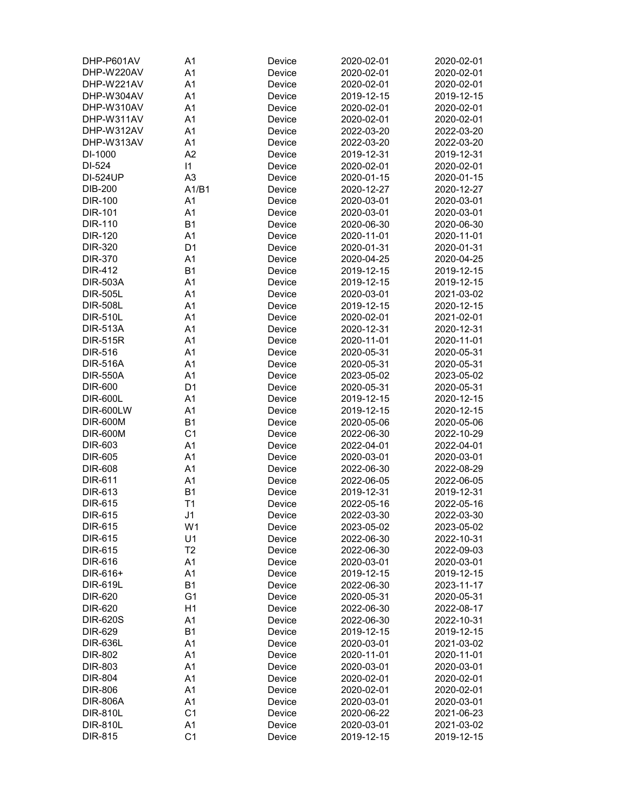| DHP-P601AV       | A1             | Device | 2020-02-01 | 2020-02-01               |
|------------------|----------------|--------|------------|--------------------------|
| DHP-W220AV       | A <sub>1</sub> | Device | 2020-02-01 | 2020-02-01               |
| DHP-W221AV       | A <sub>1</sub> | Device | 2020-02-01 | 2020-02-01               |
| DHP-W304AV       | A <sub>1</sub> | Device | 2019-12-15 | 2019-12-15               |
| DHP-W310AV       | A <sub>1</sub> | Device | 2020-02-01 | 2020-02-01               |
| DHP-W311AV       | A <sub>1</sub> | Device | 2020-02-01 | 2020-02-01               |
| DHP-W312AV       | A <sub>1</sub> | Device | 2022-03-20 | 2022-03-20               |
| DHP-W313AV       | A <sub>1</sub> | Device | 2022-03-20 | 2022-03-20               |
| DI-1000          | A2             | Device | 2019-12-31 | 2019-12-31               |
| DI-524           | 1              | Device | 2020-02-01 | 2020-02-01               |
| <b>DI-524UP</b>  | A <sub>3</sub> | Device | 2020-01-15 | 2020-01-15               |
| <b>DIB-200</b>   | A1/B1          | Device | 2020-12-27 | 2020-12-27               |
| <b>DIR-100</b>   | A1             | Device | 2020-03-01 | 2020-03-01               |
| <b>DIR-101</b>   | A <sub>1</sub> |        |            | 2020-03-01               |
|                  |                | Device | 2020-03-01 |                          |
| <b>DIR-110</b>   | <b>B1</b>      | Device | 2020-06-30 | 2020-06-30               |
| <b>DIR-120</b>   | A <sub>1</sub> | Device | 2020-11-01 | 2020-11-01               |
| DIR-320          | D <sub>1</sub> | Device | 2020-01-31 | 2020-01-31               |
| <b>DIR-370</b>   | A <sub>1</sub> | Device | 2020-04-25 | 2020-04-25               |
| <b>DIR-412</b>   | <b>B1</b>      | Device | 2019-12-15 | 2019-12-15               |
| <b>DIR-503A</b>  | A1             | Device | 2019-12-15 | 2019-12-15               |
| <b>DIR-505L</b>  | A <sub>1</sub> | Device | 2020-03-01 | 2021-03-02               |
| <b>DIR-508L</b>  | A <sub>1</sub> | Device | 2019-12-15 | 2020-12-15               |
| <b>DIR-510L</b>  | A1             | Device | 2020-02-01 | 2021-02-01               |
| <b>DIR-513A</b>  | A <sub>1</sub> | Device | 2020-12-31 | 2020-12-31               |
| <b>DIR-515R</b>  | A <sub>1</sub> | Device | 2020-11-01 | 2020-11-01               |
| <b>DIR-516</b>   | A <sub>1</sub> | Device | 2020-05-31 | 2020-05-31               |
| <b>DIR-516A</b>  | A <sub>1</sub> | Device | 2020-05-31 | 2020-05-31               |
| <b>DIR-550A</b>  | A <sub>1</sub> | Device | 2023-05-02 | 2023-05-02               |
| <b>DIR-600</b>   | D <sub>1</sub> | Device | 2020-05-31 | 2020-05-31               |
| <b>DIR-600L</b>  | A <sub>1</sub> | Device | 2019-12-15 | 2020-12-15               |
| <b>DIR-600LW</b> | A <sub>1</sub> | Device | 2019-12-15 | 2020-12-15               |
| <b>DIR-600M</b>  | <b>B1</b>      | Device | 2020-05-06 | 2020-05-06               |
| <b>DIR-600M</b>  | C <sub>1</sub> | Device | 2022-06-30 | 2022-10-29               |
| DIR-603          | A <sub>1</sub> | Device | 2022-04-01 | 2022-04-01               |
| <b>DIR-605</b>   | A <sub>1</sub> | Device | 2020-03-01 | 2020-03-01               |
| <b>DIR-608</b>   | A <sub>1</sub> | Device | 2022-06-30 | 2022-08-29               |
| DIR-611          | A <sub>1</sub> | Device | 2022-06-05 | 2022-06-05               |
| DIR-613          | <b>B1</b>      | Device | 2019-12-31 | 2019-12-31               |
| <b>DIR-615</b>   | T1             | Device | 2022-05-16 | 2022-05-16               |
| DIR-615          | J <sub>1</sub> | Device | 2022-03-30 | 2022-03-30               |
| <b>DIR-615</b>   | W <sub>1</sub> | Device | 2023-05-02 | 2023-05-02               |
| <b>DIR-615</b>   | U1             | Device | 2022-06-30 | 2022-10-31               |
| <b>DIR-615</b>   | T <sub>2</sub> | Device | 2022-06-30 | 2022-09-03               |
| <b>DIR-616</b>   | A <sub>1</sub> | Device | 2020-03-01 | 2020-03-01               |
| DIR-616+         | A <sub>1</sub> | Device | 2019-12-15 | 2019-12-15               |
| <b>DIR-619L</b>  | <b>B1</b>      | Device | 2022-06-30 | 2023-11-17               |
| DIR-620          | G <sub>1</sub> | Device | 2020-05-31 | 2020-05-31               |
| DIR-620          | H <sub>1</sub> | Device | 2022-06-30 | 2022-08-17               |
| <b>DIR-620S</b>  | A <sub>1</sub> |        |            |                          |
|                  | <b>B1</b>      | Device | 2022-06-30 | 2022-10-31<br>2019-12-15 |
| DIR-629          |                | Device | 2019-12-15 |                          |
| <b>DIR-636L</b>  | A <sub>1</sub> | Device | 2020-03-01 | 2021-03-02               |
| <b>DIR-802</b>   | A <sub>1</sub> | Device | 2020-11-01 | 2020-11-01               |
| <b>DIR-803</b>   | A1             | Device | 2020-03-01 | 2020-03-01               |
| <b>DIR-804</b>   | A <sub>1</sub> | Device | 2020-02-01 | 2020-02-01               |
| <b>DIR-806</b>   | A1             | Device | 2020-02-01 | 2020-02-01               |
| <b>DIR-806A</b>  | A <sub>1</sub> | Device | 2020-03-01 | 2020-03-01               |
| DIR-810L         | C <sub>1</sub> | Device | 2020-06-22 | 2021-06-23               |
| <b>DIR-810L</b>  | A1             | Device | 2020-03-01 | 2021-03-02               |
| <b>DIR-815</b>   | C <sub>1</sub> | Device | 2019-12-15 | 2019-12-15               |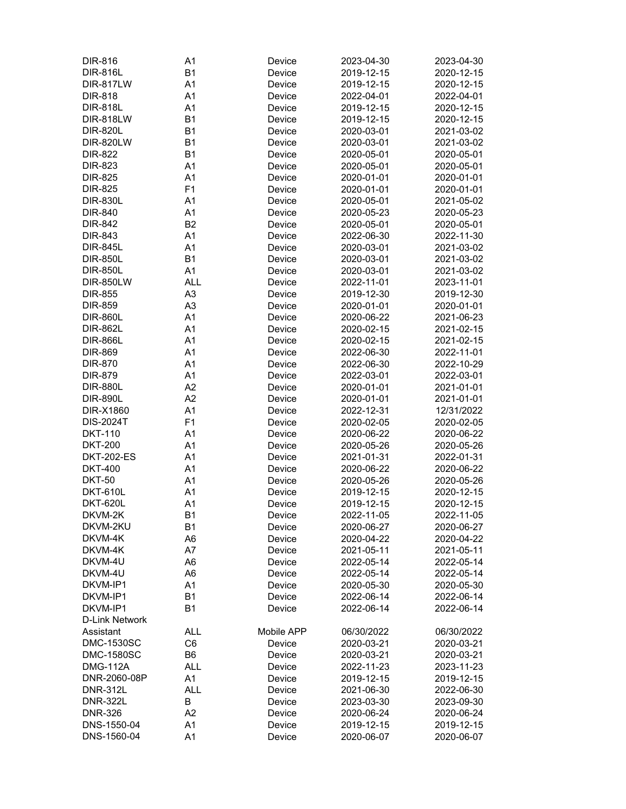| <b>DIR-816</b>        | A <sub>1</sub> | Device     | 2023-04-30 | 2023-04-30 |
|-----------------------|----------------|------------|------------|------------|
| <b>DIR-816L</b>       | <b>B1</b>      | Device     | 2019-12-15 | 2020-12-15 |
| <b>DIR-817LW</b>      | A1             | Device     | 2019-12-15 | 2020-12-15 |
| <b>DIR-818</b>        | A <sub>1</sub> | Device     | 2022-04-01 | 2022-04-01 |
| <b>DIR-818L</b>       | A <sub>1</sub> | Device     | 2019-12-15 | 2020-12-15 |
| <b>DIR-818LW</b>      | <b>B1</b>      | Device     | 2019-12-15 | 2020-12-15 |
| <b>DIR-820L</b>       | <b>B1</b>      | Device     | 2020-03-01 | 2021-03-02 |
| <b>DIR-820LW</b>      | <b>B1</b>      | Device     | 2020-03-01 | 2021-03-02 |
| <b>DIR-822</b>        | <b>B1</b>      | Device     | 2020-05-01 | 2020-05-01 |
| <b>DIR-823</b>        | A <sub>1</sub> | Device     | 2020-05-01 | 2020-05-01 |
| <b>DIR-825</b>        | A <sub>1</sub> | Device     | 2020-01-01 | 2020-01-01 |
| <b>DIR-825</b>        | F <sub>1</sub> | Device     | 2020-01-01 | 2020-01-01 |
| <b>DIR-830L</b>       | A1             | Device     | 2020-05-01 | 2021-05-02 |
| <b>DIR-840</b>        | A <sub>1</sub> | Device     | 2020-05-23 | 2020-05-23 |
| <b>DIR-842</b>        | B <sub>2</sub> | Device     | 2020-05-01 | 2020-05-01 |
| DIR-843               | A <sub>1</sub> |            |            | 2022-11-30 |
| <b>DIR-845L</b>       |                | Device     | 2022-06-30 |            |
|                       | A1             | Device     | 2020-03-01 | 2021-03-02 |
| <b>DIR-850L</b>       | <b>B1</b>      | Device     | 2020-03-01 | 2021-03-02 |
| <b>DIR-850L</b>       | A <sub>1</sub> | Device     | 2020-03-01 | 2021-03-02 |
| <b>DIR-850LW</b>      | <b>ALL</b>     | Device     | 2022-11-01 | 2023-11-01 |
| <b>DIR-855</b>        | A <sub>3</sub> | Device     | 2019-12-30 | 2019-12-30 |
| <b>DIR-859</b>        | A <sub>3</sub> | Device     | 2020-01-01 | 2020-01-01 |
| <b>DIR-860L</b>       | A1             | Device     | 2020-06-22 | 2021-06-23 |
| <b>DIR-862L</b>       | A <sub>1</sub> | Device     | 2020-02-15 | 2021-02-15 |
| <b>DIR-866L</b>       | A <sub>1</sub> | Device     | 2020-02-15 | 2021-02-15 |
| DIR-869               | A <sub>1</sub> | Device     | 2022-06-30 | 2022-11-01 |
| DIR-870               | A1             | Device     | 2022-06-30 | 2022-10-29 |
| <b>DIR-879</b>        | A1             | Device     | 2022-03-01 | 2022-03-01 |
| <b>DIR-880L</b>       | A2             | Device     | 2020-01-01 | 2021-01-01 |
| <b>DIR-890L</b>       | A2             | Device     | 2020-01-01 | 2021-01-01 |
| DIR-X1860             | A <sub>1</sub> | Device     | 2022-12-31 | 12/31/2022 |
| <b>DIS-2024T</b>      | F <sub>1</sub> | Device     | 2020-02-05 | 2020-02-05 |
| <b>DKT-110</b>        | A1             | Device     | 2020-06-22 | 2020-06-22 |
| <b>DKT-200</b>        | A <sub>1</sub> | Device     | 2020-05-26 | 2020-05-26 |
| <b>DKT-202-ES</b>     | A1             | Device     | 2021-01-31 | 2022-01-31 |
| <b>DKT-400</b>        | A1             | Device     | 2020-06-22 | 2020-06-22 |
| <b>DKT-50</b>         | A1             | Device     | 2020-05-26 | 2020-05-26 |
| <b>DKT-610L</b>       | A1             | Device     | 2019-12-15 | 2020-12-15 |
| <b>DKT-620L</b>       | A <sub>1</sub> | Device     | 2019-12-15 | 2020-12-15 |
| DKVM-2K               | B <sub>1</sub> | Device     | 2022-11-05 | 2022-11-05 |
| DKVM-2KU              | <b>B1</b>      | Device     | 2020-06-27 | 2020-06-27 |
| DKVM-4K               | A6             | Device     | 2020-04-22 | 2020-04-22 |
| DKVM-4K               | A7             | Device     | 2021-05-11 | 2021-05-11 |
| DKVM-4U               | A <sub>6</sub> | Device     | 2022-05-14 | 2022-05-14 |
| DKVM-4U               | A6             | Device     | 2022-05-14 | 2022-05-14 |
| DKVM-IP1              | A1             | Device     | 2020-05-30 | 2020-05-30 |
| DKVM-IP1              | <b>B1</b>      | Device     | 2022-06-14 | 2022-06-14 |
| DKVM-IP1              | <b>B1</b>      | Device     | 2022-06-14 | 2022-06-14 |
| <b>D-Link Network</b> |                |            |            |            |
| Assistant             | <b>ALL</b>     | Mobile APP | 06/30/2022 | 06/30/2022 |
| <b>DMC-1530SC</b>     | C <sub>6</sub> | Device     | 2020-03-21 | 2020-03-21 |
| <b>DMC-1580SC</b>     | B <sub>6</sub> | Device     | 2020-03-21 | 2020-03-21 |
| <b>DMG-112A</b>       | <b>ALL</b>     | Device     | 2022-11-23 | 2023-11-23 |
| DNR-2060-08P          | A1             | Device     | 2019-12-15 | 2019-12-15 |
| <b>DNR-312L</b>       | <b>ALL</b>     | Device     | 2021-06-30 | 2022-06-30 |
| <b>DNR-322L</b>       | В              | Device     | 2023-03-30 | 2023-09-30 |
| <b>DNR-326</b>        | A2             | Device     | 2020-06-24 | 2020-06-24 |
| DNS-1550-04           | A1             | Device     | 2019-12-15 | 2019-12-15 |
| DNS-1560-04           | A <sub>1</sub> | Device     | 2020-06-07 | 2020-06-07 |
|                       |                |            |            |            |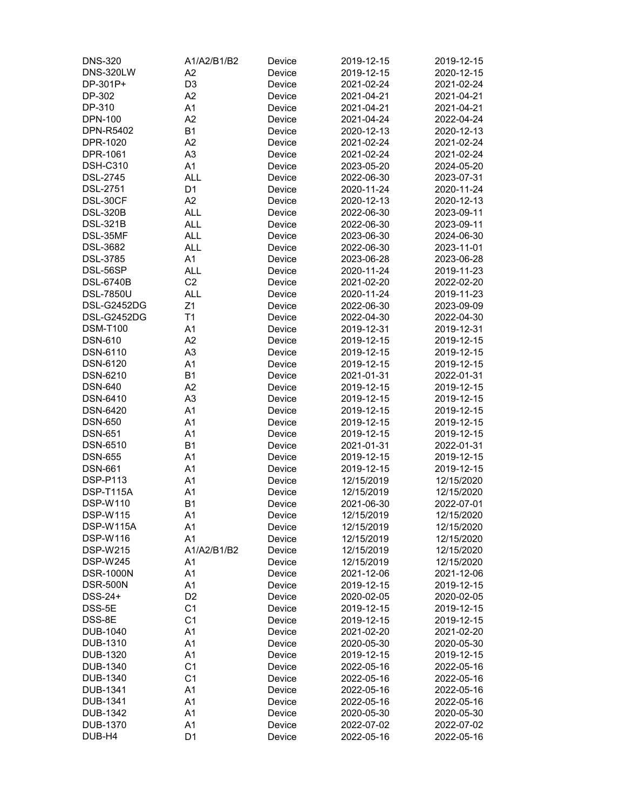| <b>DNS-320</b>   | A1/A2/B1/B2    | Device | 2019-12-15 | 2019-12-15 |
|------------------|----------------|--------|------------|------------|
| <b>DNS-320LW</b> | A2             | Device | 2019-12-15 | 2020-12-15 |
| DP-301P+         | D <sub>3</sub> | Device | 2021-02-24 | 2021-02-24 |
| DP-302           | A2             | Device | 2021-04-21 | 2021-04-21 |
| DP-310           | A <sub>1</sub> | Device | 2021-04-21 | 2021-04-21 |
| <b>DPN-100</b>   | A2             | Device | 2021-04-24 | 2022-04-24 |
| DPN-R5402        | <b>B1</b>      | Device | 2020-12-13 | 2020-12-13 |
| DPR-1020         | A2             | Device | 2021-02-24 | 2021-02-24 |
| DPR-1061         | A <sub>3</sub> | Device | 2021-02-24 | 2021-02-24 |
| <b>DSH-C310</b>  | A <sub>1</sub> |        |            | 2024-05-20 |
|                  |                | Device | 2023-05-20 |            |
| <b>DSL-2745</b>  | <b>ALL</b>     | Device | 2022-06-30 | 2023-07-31 |
| <b>DSL-2751</b>  | D <sub>1</sub> | Device | 2020-11-24 | 2020-11-24 |
| DSL-30CF         | A2             | Device | 2020-12-13 | 2020-12-13 |
| <b>DSL-320B</b>  | <b>ALL</b>     | Device | 2022-06-30 | 2023-09-11 |
| <b>DSL-321B</b>  | <b>ALL</b>     | Device | 2022-06-30 | 2023-09-11 |
| DSL-35MF         | ALL            | Device | 2023-06-30 | 2024-06-30 |
| <b>DSL-3682</b>  | <b>ALL</b>     | Device | 2022-06-30 | 2023-11-01 |
| <b>DSL-3785</b>  | A1             | Device | 2023-06-28 | 2023-06-28 |
| DSL-56SP         | <b>ALL</b>     | Device | 2020-11-24 | 2019-11-23 |
| <b>DSL-6740B</b> | C <sub>2</sub> | Device | 2021-02-20 | 2022-02-20 |
| <b>DSL-7850U</b> | <b>ALL</b>     | Device | 2020-11-24 | 2019-11-23 |
| DSL-G2452DG      | Z <sub>1</sub> | Device | 2022-06-30 | 2023-09-09 |
| DSL-G2452DG      | T1             | Device | 2022-04-30 | 2022-04-30 |
| <b>DSM-T100</b>  | A <sub>1</sub> | Device | 2019-12-31 | 2019-12-31 |
| <b>DSN-610</b>   | A2             | Device | 2019-12-15 | 2019-12-15 |
| DSN-6110         | A <sub>3</sub> | Device | 2019-12-15 | 2019-12-15 |
| DSN-6120         | A <sub>1</sub> | Device | 2019-12-15 | 2019-12-15 |
| DSN-6210         | <b>B1</b>      | Device | 2021-01-31 | 2022-01-31 |
| <b>DSN-640</b>   | A2             | Device |            |            |
|                  |                |        | 2019-12-15 | 2019-12-15 |
| DSN-6410         | A <sub>3</sub> | Device | 2019-12-15 | 2019-12-15 |
| DSN-6420         | A <sub>1</sub> | Device | 2019-12-15 | 2019-12-15 |
| <b>DSN-650</b>   | A <sub>1</sub> | Device | 2019-12-15 | 2019-12-15 |
| <b>DSN-651</b>   | A1             | Device | 2019-12-15 | 2019-12-15 |
| DSN-6510         | <b>B1</b>      | Device | 2021-01-31 | 2022-01-31 |
| <b>DSN-655</b>   | A1             | Device | 2019-12-15 | 2019-12-15 |
| <b>DSN-661</b>   | A1             | Device | 2019-12-15 | 2019-12-15 |
| <b>DSP-P113</b>  | A1             | Device | 12/15/2019 | 12/15/2020 |
| DSP-T115A        | A1             | Device | 12/15/2019 | 12/15/2020 |
| <b>DSP-W110</b>  | B <sub>1</sub> | Device | 2021-06-30 | 2022-07-01 |
| <b>DSP-W115</b>  | A <sub>1</sub> | Device | 12/15/2019 | 12/15/2020 |
| DSP-W115A        | A1             | Device | 12/15/2019 | 12/15/2020 |
| <b>DSP-W116</b>  | A <sub>1</sub> | Device | 12/15/2019 | 12/15/2020 |
| <b>DSP-W215</b>  | A1/A2/B1/B2    | Device | 12/15/2019 | 12/15/2020 |
| <b>DSP-W245</b>  | A1             | Device | 12/15/2019 | 12/15/2020 |
| <b>DSR-1000N</b> | A1             | Device | 2021-12-06 | 2021-12-06 |
| <b>DSR-500N</b>  | A1             | Device | 2019-12-15 | 2019-12-15 |
| DSS-24+          | D <sub>2</sub> | Device | 2020-02-05 | 2020-02-05 |
| DSS-5E           | C <sub>1</sub> | Device | 2019-12-15 | 2019-12-15 |
| DSS-8E           | C <sub>1</sub> | Device | 2019-12-15 | 2019-12-15 |
| DUB-1040         | A <sub>1</sub> | Device | 2021-02-20 | 2021-02-20 |
|                  |                |        |            |            |
| DUB-1310         | A <sub>1</sub> | Device | 2020-05-30 | 2020-05-30 |
| <b>DUB-1320</b>  | A <sub>1</sub> | Device | 2019-12-15 | 2019-12-15 |
| DUB-1340         | C <sub>1</sub> | Device | 2022-05-16 | 2022-05-16 |
| DUB-1340         | C <sub>1</sub> | Device | 2022-05-16 | 2022-05-16 |
| DUB-1341         | A <sub>1</sub> | Device | 2022-05-16 | 2022-05-16 |
| DUB-1341         | A1             | Device | 2022-05-16 | 2022-05-16 |
| DUB-1342         | A1             | Device | 2020-05-30 | 2020-05-30 |
| <b>DUB-1370</b>  | A1             | Device | 2022-07-02 | 2022-07-02 |
| DUB-H4           | D <sub>1</sub> | Device | 2022-05-16 | 2022-05-16 |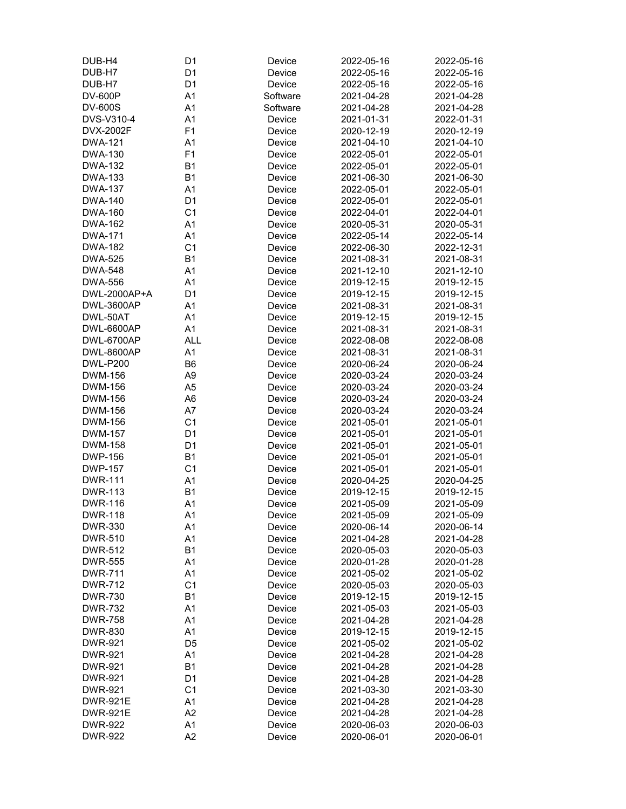| DUB-H4            | D <sub>1</sub> | Device   | 2022-05-16 | 2022-05-16 |
|-------------------|----------------|----------|------------|------------|
| DUB-H7            | D <sub>1</sub> | Device   | 2022-05-16 | 2022-05-16 |
| DUB-H7            | D <sub>1</sub> | Device   | 2022-05-16 | 2022-05-16 |
| <b>DV-600P</b>    | A <sub>1</sub> | Software | 2021-04-28 | 2021-04-28 |
| <b>DV-600S</b>    | A <sub>1</sub> | Software | 2021-04-28 | 2021-04-28 |
| DVS-V310-4        | A <sub>1</sub> | Device   | 2021-01-31 | 2022-01-31 |
| DVX-2002F         | F <sub>1</sub> | Device   | 2020-12-19 | 2020-12-19 |
| <b>DWA-121</b>    | A <sub>1</sub> | Device   | 2021-04-10 | 2021-04-10 |
| <b>DWA-130</b>    | F1             | Device   | 2022-05-01 | 2022-05-01 |
| <b>DWA-132</b>    | B <sub>1</sub> | Device   | 2022-05-01 | 2022-05-01 |
| <b>DWA-133</b>    | <b>B1</b>      |          |            | 2021-06-30 |
|                   |                | Device   | 2021-06-30 |            |
| <b>DWA-137</b>    | A <sub>1</sub> | Device   | 2022-05-01 | 2022-05-01 |
| <b>DWA-140</b>    | D <sub>1</sub> | Device   | 2022-05-01 | 2022-05-01 |
| <b>DWA-160</b>    | C <sub>1</sub> | Device   | 2022-04-01 | 2022-04-01 |
| <b>DWA-162</b>    | A <sub>1</sub> | Device   | 2020-05-31 | 2020-05-31 |
| <b>DWA-171</b>    | A <sub>1</sub> | Device   | 2022-05-14 | 2022-05-14 |
| <b>DWA-182</b>    | C <sub>1</sub> | Device   | 2022-06-30 | 2022-12-31 |
| <b>DWA-525</b>    | <b>B1</b>      | Device   | 2021-08-31 | 2021-08-31 |
| <b>DWA-548</b>    | A <sub>1</sub> | Device   | 2021-12-10 | 2021-12-10 |
| <b>DWA-556</b>    | A <sub>1</sub> | Device   | 2019-12-15 | 2019-12-15 |
| DWL-2000AP+A      | D <sub>1</sub> | Device   | 2019-12-15 | 2019-12-15 |
| <b>DWL-3600AP</b> | A <sub>1</sub> | Device   | 2021-08-31 | 2021-08-31 |
| DWL-50AT          | A <sub>1</sub> | Device   | 2019-12-15 | 2019-12-15 |
| <b>DWL-6600AP</b> | A <sub>1</sub> | Device   | 2021-08-31 | 2021-08-31 |
| DWL-6700AP        | <b>ALL</b>     | Device   | 2022-08-08 | 2022-08-08 |
| <b>DWL-8600AP</b> | A <sub>1</sub> | Device   | 2021-08-31 | 2021-08-31 |
| <b>DWL-P200</b>   | B <sub>6</sub> | Device   | 2020-06-24 | 2020-06-24 |
| DWM-156           | A <sub>9</sub> | Device   | 2020-03-24 | 2020-03-24 |
| DWM-156           | A <sub>5</sub> | Device   | 2020-03-24 | 2020-03-24 |
| <b>DWM-156</b>    | A <sub>6</sub> | Device   | 2020-03-24 | 2020-03-24 |
| DWM-156           | A7             |          | 2020-03-24 | 2020-03-24 |
| DWM-156           |                | Device   |            | 2021-05-01 |
|                   | C <sub>1</sub> | Device   | 2021-05-01 |            |
| <b>DWM-157</b>    | D <sub>1</sub> | Device   | 2021-05-01 | 2021-05-01 |
| <b>DWM-158</b>    | D <sub>1</sub> | Device   | 2021-05-01 | 2021-05-01 |
| <b>DWP-156</b>    | <b>B1</b>      | Device   | 2021-05-01 | 2021-05-01 |
| <b>DWP-157</b>    | C <sub>1</sub> | Device   | 2021-05-01 | 2021-05-01 |
| <b>DWR-111</b>    | A <sub>1</sub> | Device   | 2020-04-25 | 2020-04-25 |
| <b>DWR-113</b>    | <b>B1</b>      | Device   | 2019-12-15 | 2019-12-15 |
| <b>DWR-116</b>    | A <sub>1</sub> | Device   | 2021-05-09 | 2021-05-09 |
| <b>DWR-118</b>    | A1             | Device   | 2021-05-09 | 2021-05-09 |
| <b>DWR-330</b>    | A1             | Device   | 2020-06-14 | 2020-06-14 |
| <b>DWR-510</b>    | A1             | Device   | 2021-04-28 | 2021-04-28 |
| <b>DWR-512</b>    | <b>B1</b>      | Device   | 2020-05-03 | 2020-05-03 |
| <b>DWR-555</b>    | A <sub>1</sub> | Device   | 2020-01-28 | 2020-01-28 |
| <b>DWR-711</b>    | A <sub>1</sub> | Device   | 2021-05-02 | 2021-05-02 |
| <b>DWR-712</b>    | C <sub>1</sub> | Device   | 2020-05-03 | 2020-05-03 |
| <b>DWR-730</b>    | <b>B1</b>      | Device   | 2019-12-15 | 2019-12-15 |
| <b>DWR-732</b>    | A <sub>1</sub> | Device   | 2021-05-03 | 2021-05-03 |
| <b>DWR-758</b>    | A <sub>1</sub> | Device   | 2021-04-28 | 2021-04-28 |
| <b>DWR-830</b>    | A <sub>1</sub> | Device   | 2019-12-15 | 2019-12-15 |
| <b>DWR-921</b>    | D <sub>5</sub> | Device   | 2021-05-02 | 2021-05-02 |
| <b>DWR-921</b>    | A <sub>1</sub> | Device   | 2021-04-28 | 2021-04-28 |
| <b>DWR-921</b>    | <b>B1</b>      | Device   | 2021-04-28 | 2021-04-28 |
| <b>DWR-921</b>    | D <sub>1</sub> | Device   | 2021-04-28 | 2021-04-28 |
|                   |                |          |            |            |
| <b>DWR-921</b>    | C <sub>1</sub> | Device   | 2021-03-30 | 2021-03-30 |
| <b>DWR-921E</b>   | A <sub>1</sub> | Device   | 2021-04-28 | 2021-04-28 |
| <b>DWR-921E</b>   | A <sub>2</sub> | Device   | 2021-04-28 | 2021-04-28 |
| <b>DWR-922</b>    | A1             | Device   | 2020-06-03 | 2020-06-03 |
| <b>DWR-922</b>    | A2             | Device   | 2020-06-01 | 2020-06-01 |